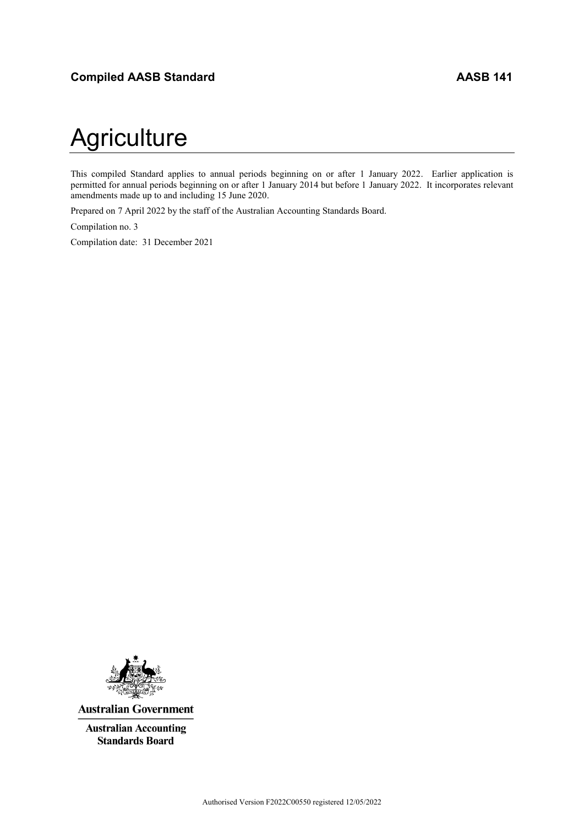## **Compiled AASB Standard AASB 141**

# **Agriculture**

This compiled Standard applies to annual periods beginning on or after 1 January 2022. Earlier application is permitted for annual periods beginning on or after 1 January 2014 but before 1 January 2022. It incorporates relevant amendments made up to and including 15 June 2020.

Prepared on 7 April 2022 by the staff of the Australian Accounting Standards Board.

Compilation no. 3

Compilation date: 31 December 2021



**Australian Government** 

**Australian Accounting Standards Board**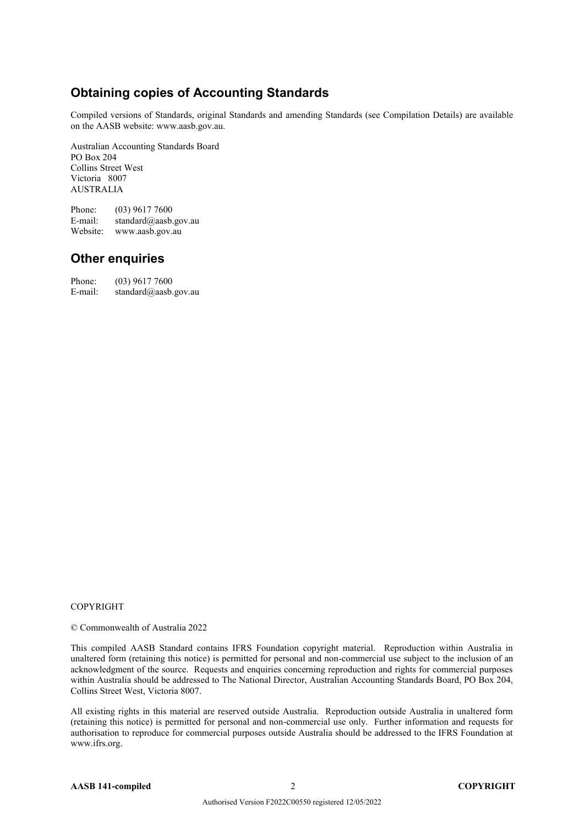## **Obtaining copies of Accounting Standards**

Compiled versions of Standards, original Standards and amending Standards (see Compilation Details) are available on the AASB website: www.aasb.gov.au.

Australian Accounting Standards Board PO Box 204 Collins Street West Victoria 8007 AUSTRALIA

Phone:  $(03)$  9617 7600<br>E-mail: standard@aasb. standard@aasb.gov.au Website: www.aasb.gov.au

## **Other enquiries**

Phone: (03) 9617 7600 E-mail: standard@aasb.gov.au

#### **COPYRIGHT**

#### © Commonwealth of Australia 2022

This compiled AASB Standard contains IFRS Foundation copyright material. Reproduction within Australia in unaltered form (retaining this notice) is permitted for personal and non-commercial use subject to the inclusion of an acknowledgment of the source. Requests and enquiries concerning reproduction and rights for commercial purposes within Australia should be addressed to The National Director, Australian Accounting Standards Board, PO Box 204, Collins Street West, Victoria 8007.

All existing rights in this material are reserved outside Australia. Reproduction outside Australia in unaltered form (retaining this notice) is permitted for personal and non-commercial use only. Further information and requests for authorisation to reproduce for commercial purposes outside Australia should be addressed to the IFRS Foundation at www.ifrs.org.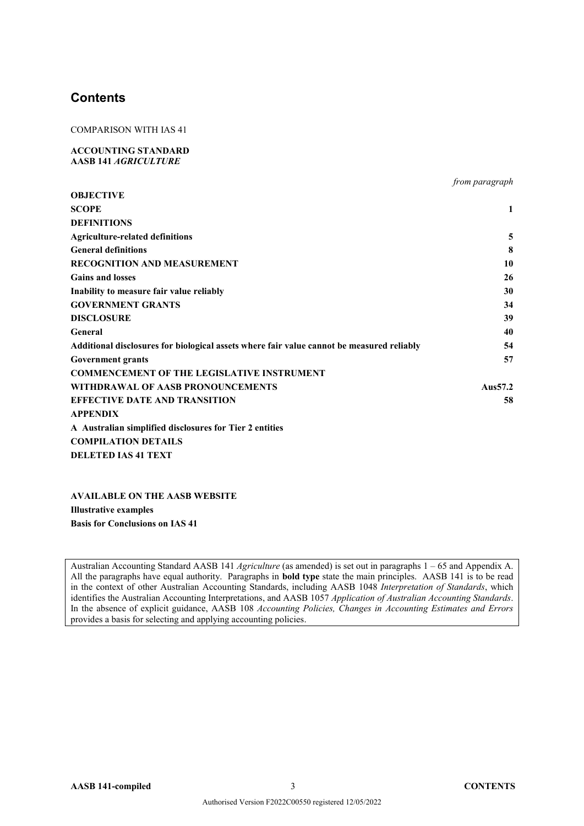## **Contents**

COMPARISON WITH IAS 41

#### **ACCOUNTING STANDARD AASB 141** *AGRICULTURE*

*from paragraph*

| <b>OBJECTIVE</b>                                                                          |         |
|-------------------------------------------------------------------------------------------|---------|
| <b>SCOPE</b>                                                                              | 1       |
| <b>DEFINITIONS</b>                                                                        |         |
| <b>Agriculture-related definitions</b>                                                    | 5       |
| <b>General definitions</b>                                                                | 8       |
| <b>RECOGNITION AND MEASUREMENT</b>                                                        | 10      |
| <b>Gains and losses</b>                                                                   | 26      |
| Inability to measure fair value reliably                                                  | 30      |
| <b>GOVERNMENT GRANTS</b>                                                                  | 34      |
| <b>DISCLOSURE</b>                                                                         | 39      |
| General                                                                                   | 40      |
| Additional disclosures for biological assets where fair value cannot be measured reliably | 54      |
| <b>Government grants</b>                                                                  | 57      |
| <b>COMMENCEMENT OF THE LEGISLATIVE INSTRUMENT</b>                                         |         |
| WITHDRAWAL OF AASB PRONOUNCEMENTS                                                         | Aus57.2 |
| <b>EFFECTIVE DATE AND TRANSITION</b>                                                      | 58      |
| <b>APPENDIX</b>                                                                           |         |
| A Australian simplified disclosures for Tier 2 entities                                   |         |
| <b>COMPILATION DETAILS</b>                                                                |         |
| <b>DELETED IAS 41 TEXT</b>                                                                |         |

**AVAILABLE ON THE AASB WEBSITE Illustrative examples Basis for Conclusions on IAS 41**

Australian Accounting Standard AASB 141 *Agriculture* (as amended) is set out in paragraphs 1 – 65 and Appendix A. All the paragraphs have equal authority. Paragraphs in **bold type** state the main principles. AASB 141 is to be read in the context of other Australian Accounting Standards, including AASB 1048 *Interpretation of Standards*, which identifies the Australian Accounting Interpretations, and AASB 1057 *Application of Australian Accounting Standards*. In the absence of explicit guidance, AASB 108 *Accounting Policies, Changes in Accounting Estimates and Errors* provides a basis for selecting and applying accounting policies.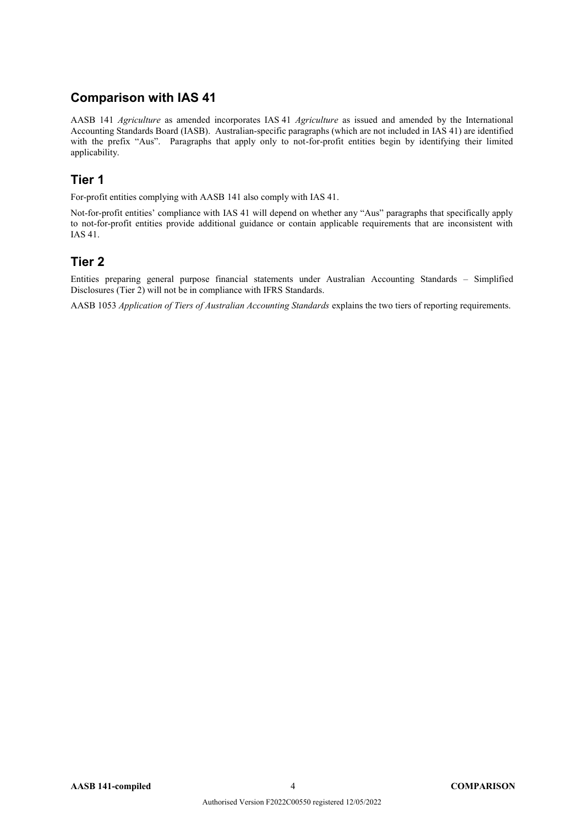## **Comparison with IAS 41**

AASB 141 *Agriculture* as amended incorporates IAS 41 *Agriculture* as issued and amended by the International Accounting Standards Board (IASB). Australian-specific paragraphs (which are not included in IAS 41) are identified with the prefix "Aus". Paragraphs that apply only to not-for-profit entities begin by identifying their limited applicability.

## **Tier 1**

For-profit entities complying with AASB 141 also comply with IAS 41.

Not-for-profit entities' compliance with IAS 41 will depend on whether any "Aus" paragraphs that specifically apply to not-for-profit entities provide additional guidance or contain applicable requirements that are inconsistent with IAS 41.

## **Tier 2**

Entities preparing general purpose financial statements under Australian Accounting Standards – Simplified Disclosures (Tier 2) will not be in compliance with IFRS Standards.

AASB 1053 *Application of Tiers of Australian Accounting Standards* explains the two tiers of reporting requirements.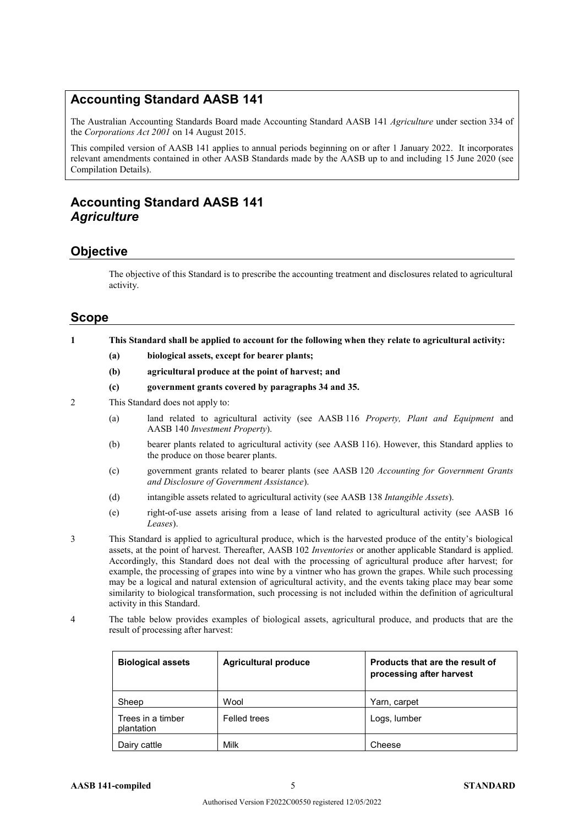## **Accounting Standard AASB 141**

The Australian Accounting Standards Board made Accounting Standard AASB 141 *Agriculture* under section 334 of the *Corporations Act 2001* on 14 August 2015.

This compiled version of AASB 141 applies to annual periods beginning on or after 1 January 2022. It incorporates relevant amendments contained in other AASB Standards made by the AASB up to and including 15 June 2020 (see Compilation Details).

## **Accounting Standard AASB 141** *Agriculture*

## **Objective**

The objective of this Standard is to prescribe the accounting treatment and disclosures related to agricultural activity.

#### **Scope**

#### **1 This Standard shall be applied to account for the following when they relate to agricultural activity:**

- **(a) biological assets, except for bearer plants;**
- **(b) agricultural produce at the point of harvest; and**
- **(c) government grants covered by paragraphs 34 and 35.**
- 2 This Standard does not apply to:
	- (a) land related to agricultural activity (see AASB 116 *Property, Plant and Equipment* and AASB 140 *Investment Property*).
	- (b) bearer plants related to agricultural activity (see AASB 116). However, this Standard applies to the produce on those bearer plants.
	- (c) government grants related to bearer plants (see AASB 120 *Accounting for Government Grants and Disclosure of Government Assistance*).
	- (d) intangible assets related to agricultural activity (see AASB 138 *Intangible Assets*).
	- (e) right-of-use assets arising from a lease of land related to agricultural activity (see AASB 16 *Leases*).
- 3 This Standard is applied to agricultural produce, which is the harvested produce of the entity's biological assets, at the point of harvest. Thereafter, AASB 102 *Inventories* or another applicable Standard is applied. Accordingly, this Standard does not deal with the processing of agricultural produce after harvest; for example, the processing of grapes into wine by a vintner who has grown the grapes. While such processing may be a logical and natural extension of agricultural activity, and the events taking place may bear some similarity to biological transformation, such processing is not included within the definition of agricultural activity in this Standard.
- 4 The table below provides examples of biological assets, agricultural produce, and products that are the result of processing after harvest:

| <b>Biological assets</b>        | <b>Agricultural produce</b> | Products that are the result of<br>processing after harvest |
|---------------------------------|-----------------------------|-------------------------------------------------------------|
| Sheep                           | Wool                        | Yarn, carpet                                                |
| Trees in a timber<br>plantation | Felled trees                | Logs, lumber                                                |
| Dairy cattle                    | Milk                        | Cheese                                                      |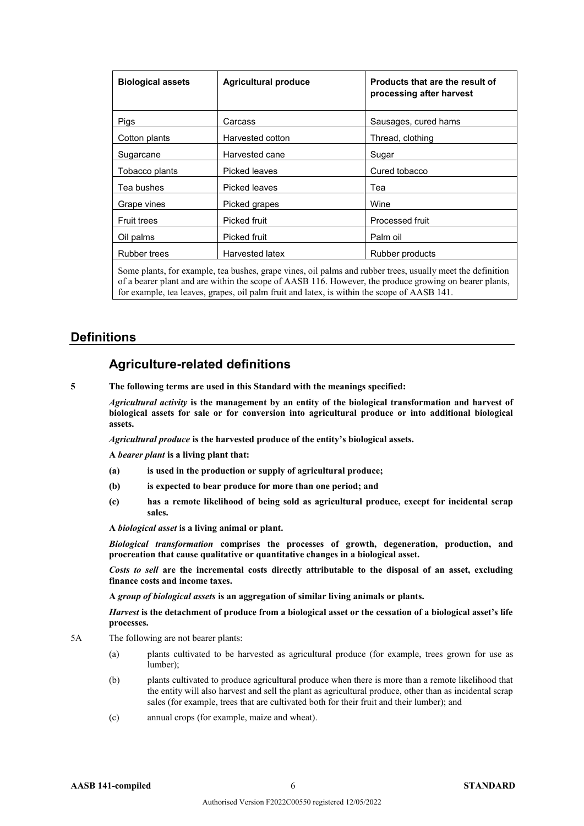| <b>Agricultural produce</b> | Products that are the result of<br>processing after harvest |
|-----------------------------|-------------------------------------------------------------|
| Carcass                     | Sausages, cured hams                                        |
| Harvested cotton            | Thread, clothing                                            |
| Harvested cane              | Sugar                                                       |
| Picked leaves               | Cured tobacco                                               |
| Picked leaves               | Tea                                                         |
| Picked grapes               | Wine                                                        |
| Picked fruit                | Processed fruit                                             |
| Picked fruit                | Palm oil                                                    |
| Harvested latex             | Rubber products                                             |
|                             |                                                             |

Some plants, for example, tea bushes, grape vines, oil palms and rubber trees, usually meet the definition of a bearer plant and are within the scope of AASB 116. However, the produce growing on bearer plants, for example, tea leaves, grapes, oil palm fruit and latex, is within the scope of AASB 141.

#### **Definitions**

## **Agriculture-related definitions**

**5 The following terms are used in this Standard with the meanings specified:** 

*Agricultural activity* **is the management by an entity of the biological transformation and harvest of biological assets for sale or for conversion into agricultural produce or into additional biological assets.** 

*Agricultural produce* **is the harvested produce of the entity's biological assets.** 

**A** *bearer plant* **is a living plant that:**

- **(a) is used in the production or supply of agricultural produce;**
- **(b) is expected to bear produce for more than one period; and**
- **(c) has a remote likelihood of being sold as agricultural produce, except for incidental scrap sales.**

**A** *biological asset* **is a living animal or plant.** 

*Biological transformation* **comprises the processes of growth, degeneration, production, and procreation that cause qualitative or quantitative changes in a biological asset.** 

*Costs to sell* **are the incremental costs directly attributable to the disposal of an asset, excluding finance costs and income taxes.**

**A** *group of biological assets* **is an aggregation of similar living animals or plants.** 

*Harvest* **is the detachment of produce from a biological asset or the cessation of a biological asset's life processes.** 

- 5A The following are not bearer plants:
	- (a) plants cultivated to be harvested as agricultural produce (for example, trees grown for use as lumber);
	- (b) plants cultivated to produce agricultural produce when there is more than a remote likelihood that the entity will also harvest and sell the plant as agricultural produce, other than as incidental scrap sales (for example, trees that are cultivated both for their fruit and their lumber); and
	- (c) annual crops (for example, maize and wheat).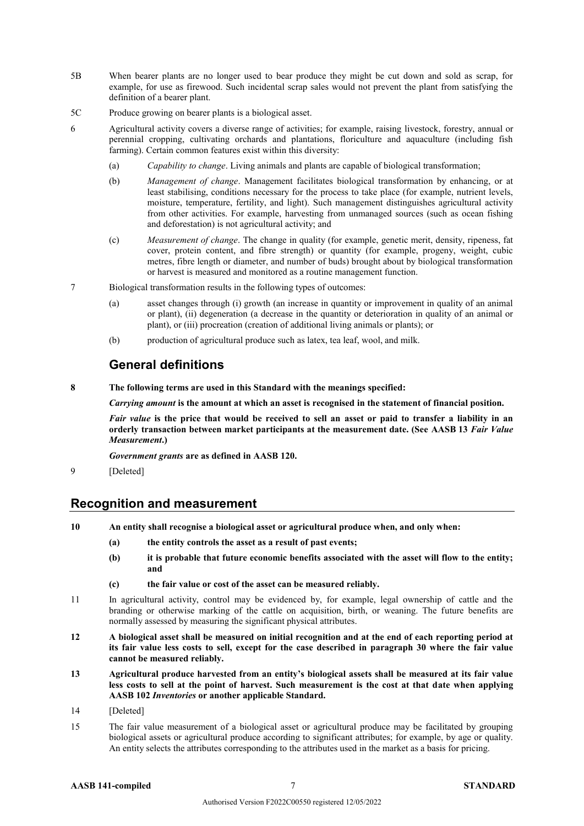- 5B When bearer plants are no longer used to bear produce they might be cut down and sold as scrap, for example, for use as firewood. Such incidental scrap sales would not prevent the plant from satisfying the definition of a bearer plant.
- 5C Produce growing on bearer plants is a biological asset.
- 6 Agricultural activity covers a diverse range of activities; for example, raising livestock, forestry, annual or perennial cropping, cultivating orchards and plantations, floriculture and aquaculture (including fish farming). Certain common features exist within this diversity:
	- (a) *Capability to change*. Living animals and plants are capable of biological transformation;
	- (b) *Management of change*. Management facilitates biological transformation by enhancing, or at least stabilising, conditions necessary for the process to take place (for example, nutrient levels, moisture, temperature, fertility, and light). Such management distinguishes agricultural activity from other activities. For example, harvesting from unmanaged sources (such as ocean fishing and deforestation) is not agricultural activity; and
	- (c) *Measurement of change*. The change in quality (for example, genetic merit, density, ripeness, fat cover, protein content, and fibre strength) or quantity (for example, progeny, weight, cubic metres, fibre length or diameter, and number of buds) brought about by biological transformation or harvest is measured and monitored as a routine management function.
- 7 Biological transformation results in the following types of outcomes:
	- (a) asset changes through (i) growth (an increase in quantity or improvement in quality of an animal or plant), (ii) degeneration (a decrease in the quantity or deterioration in quality of an animal or plant), or (iii) procreation (creation of additional living animals or plants); or
	- (b) production of agricultural produce such as latex, tea leaf, wool, and milk.

## **General definitions**

**8 The following terms are used in this Standard with the meanings specified:** 

*Carrying amount* **is the amount at which an asset is recognised in the statement of financial position.** 

*Fair value* **is the price that would be received to sell an asset or paid to transfer a liability in an orderly transaction between market participants at the measurement date. (See AASB 13** *Fair Value Measurement***.)**

*Government grants* **are as defined in AASB 120.** 

9 [Deleted]

#### **Recognition and measurement**

- **10 An entity shall recognise a biological asset or agricultural produce when, and only when:** 
	- **(a) the entity controls the asset as a result of past events;**
	- **(b) it is probable that future economic benefits associated with the asset will flow to the entity; and**
	- **(c) the fair value or cost of the asset can be measured reliably.**
- 11 In agricultural activity, control may be evidenced by, for example, legal ownership of cattle and the branding or otherwise marking of the cattle on acquisition, birth, or weaning. The future benefits are normally assessed by measuring the significant physical attributes.
- **12 A biological asset shall be measured on initial recognition and at the end of each reporting period at its fair value less costs to sell, except for the case described in paragraph 30 where the fair value cannot be measured reliably.**
- **13 Agricultural produce harvested from an entity's biological assets shall be measured at its fair value less costs to sell at the point of harvest. Such measurement is the cost at that date when applying AASB 102** *Inventories* **or another applicable Standard.**
- 14 [Deleted]
- 15 The fair value measurement of a biological asset or agricultural produce may be facilitated by grouping biological assets or agricultural produce according to significant attributes; for example, by age or quality. An entity selects the attributes corresponding to the attributes used in the market as a basis for pricing.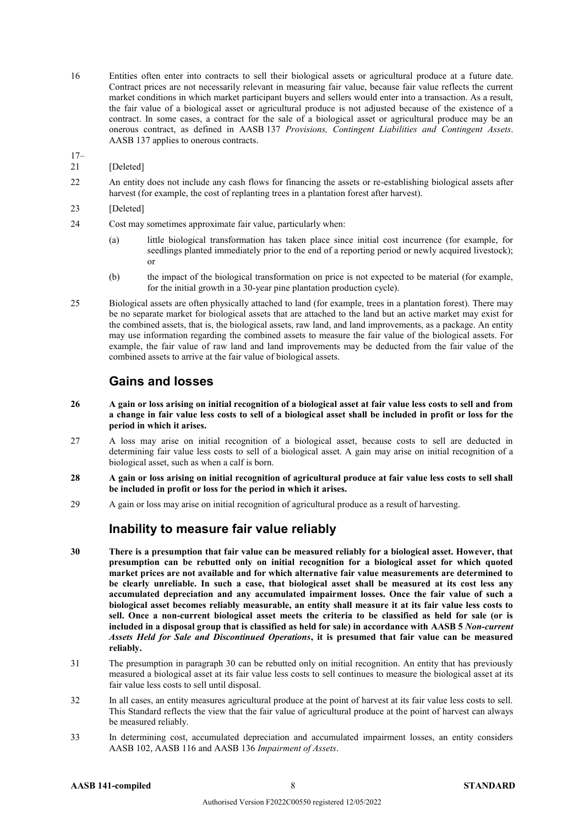- 16 Entities often enter into contracts to sell their biological assets or agricultural produce at a future date. Contract prices are not necessarily relevant in measuring fair value, because fair value reflects the current market conditions in which market participant buyers and sellers would enter into a transaction. As a result, the fair value of a biological asset or agricultural produce is not adjusted because of the existence of a contract. In some cases, a contract for the sale of a biological asset or agricultural produce may be an onerous contract, as defined in AASB 137 *Provisions, Contingent Liabilities and Contingent Assets*. AASB 137 applies to onerous contracts.
- 17–
- 21 [Deleted]
- 22 An entity does not include any cash flows for financing the assets or re-establishing biological assets after harvest (for example, the cost of replanting trees in a plantation forest after harvest).
- 23 [Deleted]
- 24 Cost may sometimes approximate fair value, particularly when:
	- (a) little biological transformation has taken place since initial cost incurrence (for example, for seedlings planted immediately prior to the end of a reporting period or newly acquired livestock); or
	- (b) the impact of the biological transformation on price is not expected to be material (for example, for the initial growth in a 30-year pine plantation production cycle).
- 25 Biological assets are often physically attached to land (for example, trees in a plantation forest). There may be no separate market for biological assets that are attached to the land but an active market may exist for the combined assets, that is, the biological assets, raw land, and land improvements, as a package. An entity may use information regarding the combined assets to measure the fair value of the biological assets. For example, the fair value of raw land and land improvements may be deducted from the fair value of the combined assets to arrive at the fair value of biological assets.

## **Gains and losses**

- **26 A gain or loss arising on initial recognition of a biological asset at fair value less costs to sell and from a change in fair value less costs to sell of a biological asset shall be included in profit or loss for the period in which it arises.**
- 27 A loss may arise on initial recognition of a biological asset, because costs to sell are deducted in determining fair value less costs to sell of a biological asset. A gain may arise on initial recognition of a biological asset, such as when a calf is born.
- **28 A gain or loss arising on initial recognition of agricultural produce at fair value less costs to sell shall be included in profit or loss for the period in which it arises.**
- 29 A gain or loss may arise on initial recognition of agricultural produce as a result of harvesting.

## **Inability to measure fair value reliably**

- **30 There is a presumption that fair value can be measured reliably for a biological asset. However, that presumption can be rebutted only on initial recognition for a biological asset for which quoted market prices are not available and for which alternative fair value measurements are determined to be clearly unreliable. In such a case, that biological asset shall be measured at its cost less any accumulated depreciation and any accumulated impairment losses. Once the fair value of such a biological asset becomes reliably measurable, an entity shall measure it at its fair value less costs to sell. Once a non-current biological asset meets the criteria to be classified as held for sale (or is included in a disposal group that is classified as held for sale) in accordance with AASB 5** *Non-current Assets Held for Sale and Discontinued Operations***, it is presumed that fair value can be measured reliably.**
- 31 The presumption in paragraph 30 can be rebutted only on initial recognition. An entity that has previously measured a biological asset at its fair value less costs to sell continues to measure the biological asset at its fair value less costs to sell until disposal.
- 32 In all cases, an entity measures agricultural produce at the point of harvest at its fair value less costs to sell. This Standard reflects the view that the fair value of agricultural produce at the point of harvest can always be measured reliably.
- 33 In determining cost, accumulated depreciation and accumulated impairment losses, an entity considers AASB 102, AASB 116 and AASB 136 *Impairment of Assets*.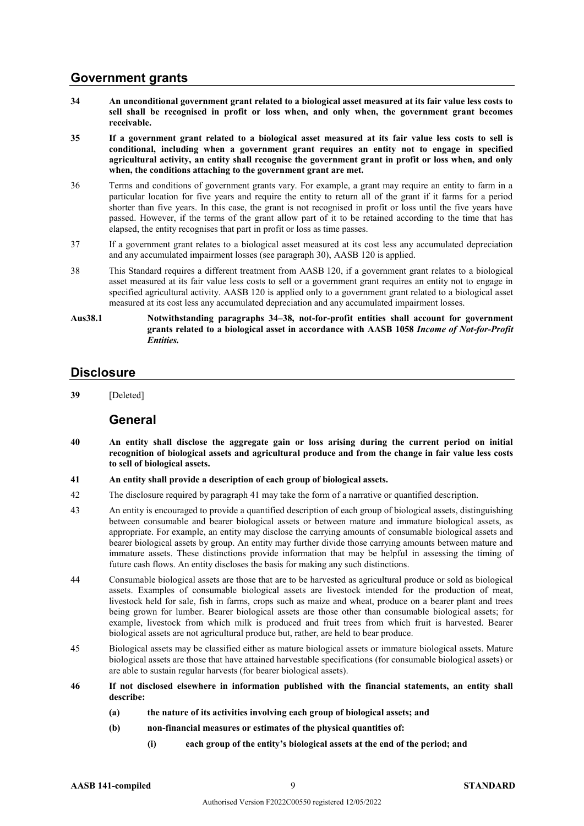## **Government grants**

- **34 An unconditional government grant related to a biological asset measured at its fair value less costs to sell shall be recognised in profit or loss when, and only when, the government grant becomes receivable.**
- **35 If a government grant related to a biological asset measured at its fair value less costs to sell is conditional, including when a government grant requires an entity not to engage in specified agricultural activity, an entity shall recognise the government grant in profit or loss when, and only when, the conditions attaching to the government grant are met.**
- 36 Terms and conditions of government grants vary. For example, a grant may require an entity to farm in a particular location for five years and require the entity to return all of the grant if it farms for a period shorter than five years. In this case, the grant is not recognised in profit or loss until the five years have passed. However, if the terms of the grant allow part of it to be retained according to the time that has elapsed, the entity recognises that part in profit or loss as time passes.
- 37 If a government grant relates to a biological asset measured at its cost less any accumulated depreciation and any accumulated impairment losses (see paragraph 30), AASB 120 is applied.
- 38 This Standard requires a different treatment from AASB 120, if a government grant relates to a biological asset measured at its fair value less costs to sell or a government grant requires an entity not to engage in specified agricultural activity. AASB 120 is applied only to a government grant related to a biological asset measured at its cost less any accumulated depreciation and any accumulated impairment losses.
- **Aus38.1 Notwithstanding paragraphs 34–38, not-for-profit entities shall account for government grants related to a biological asset in accordance with AASB 1058** *Income of Not-for-Profit Entities.*

## **Disclosure**

**39** [Deleted]

## **General**

- **40 An entity shall disclose the aggregate gain or loss arising during the current period on initial recognition of biological assets and agricultural produce and from the change in fair value less costs to sell of biological assets.**
- **41 An entity shall provide a description of each group of biological assets.**
- 42 The disclosure required by paragraph 41 may take the form of a narrative or quantified description.
- 43 An entity is encouraged to provide a quantified description of each group of biological assets, distinguishing between consumable and bearer biological assets or between mature and immature biological assets, as appropriate. For example, an entity may disclose the carrying amounts of consumable biological assets and bearer biological assets by group. An entity may further divide those carrying amounts between mature and immature assets. These distinctions provide information that may be helpful in assessing the timing of future cash flows. An entity discloses the basis for making any such distinctions.
- 44 Consumable biological assets are those that are to be harvested as agricultural produce or sold as biological assets. Examples of consumable biological assets are livestock intended for the production of meat, livestock held for sale, fish in farms, crops such as maize and wheat, produce on a bearer plant and trees being grown for lumber. Bearer biological assets are those other than consumable biological assets; for example, livestock from which milk is produced and fruit trees from which fruit is harvested. Bearer biological assets are not agricultural produce but, rather, are held to bear produce.
- 45 Biological assets may be classified either as mature biological assets or immature biological assets. Mature biological assets are those that have attained harvestable specifications (for consumable biological assets) or are able to sustain regular harvests (for bearer biological assets).
- **46 If not disclosed elsewhere in information published with the financial statements, an entity shall describe:** 
	- **(a) the nature of its activities involving each group of biological assets; and**
	- **(b) non-financial measures or estimates of the physical quantities of:**
		- **(i) each group of the entity's biological assets at the end of the period; and**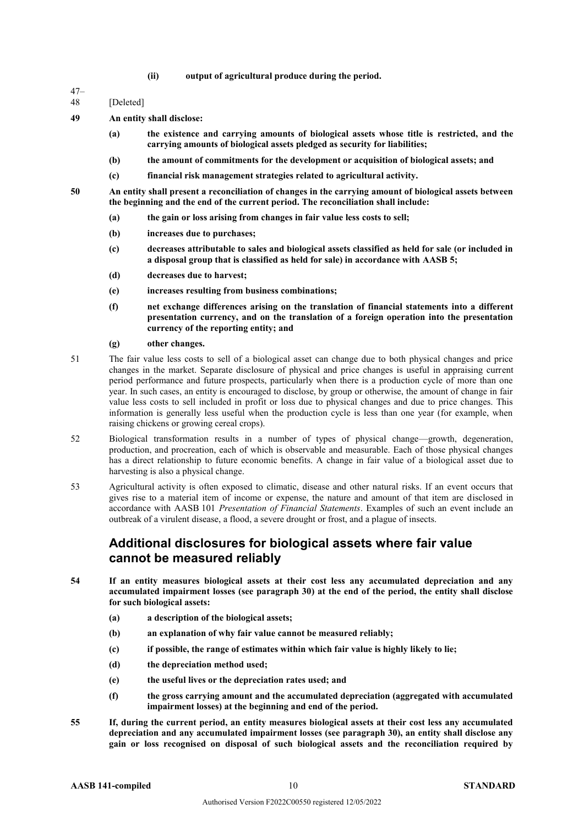**(ii) output of agricultural produce during the period.**

 $47-$ <br> $48$ 

[Deleted]

- **49 An entity shall disclose:**
	- **(a) the existence and carrying amounts of biological assets whose title is restricted, and the carrying amounts of biological assets pledged as security for liabilities;**
	- **(b) the amount of commitments for the development or acquisition of biological assets; and**
	- **(c) financial risk management strategies related to agricultural activity.**
- **50 An entity shall present a reconciliation of changes in the carrying amount of biological assets between the beginning and the end of the current period. The reconciliation shall include:** 
	- **(a) the gain or loss arising from changes in fair value less costs to sell;**
	- **(b) increases due to purchases;**
	- **(c) decreases attributable to sales and biological assets classified as held for sale (or included in a disposal group that is classified as held for sale) in accordance with AASB 5;**
	- **(d) decreases due to harvest;**
	- **(e) increases resulting from business combinations;**
	- **(f) net exchange differences arising on the translation of financial statements into a different presentation currency, and on the translation of a foreign operation into the presentation currency of the reporting entity; and**
	- **(g) other changes.**
- 51 The fair value less costs to sell of a biological asset can change due to both physical changes and price changes in the market. Separate disclosure of physical and price changes is useful in appraising current period performance and future prospects, particularly when there is a production cycle of more than one year. In such cases, an entity is encouraged to disclose, by group or otherwise, the amount of change in fair value less costs to sell included in profit or loss due to physical changes and due to price changes. This information is generally less useful when the production cycle is less than one year (for example, when raising chickens or growing cereal crops).
- 52 Biological transformation results in a number of types of physical change—growth, degeneration, production, and procreation, each of which is observable and measurable. Each of those physical changes has a direct relationship to future economic benefits. A change in fair value of a biological asset due to harvesting is also a physical change.
- 53 Agricultural activity is often exposed to climatic, disease and other natural risks. If an event occurs that gives rise to a material item of income or expense, the nature and amount of that item are disclosed in accordance with AASB 101 *Presentation of Financial Statements*. Examples of such an event include an outbreak of a virulent disease, a flood, a severe drought or frost, and a plague of insects.

## **Additional disclosures for biological assets where fair value cannot be measured reliably**

- **54 If an entity measures biological assets at their cost less any accumulated depreciation and any accumulated impairment losses (see paragraph 30) at the end of the period, the entity shall disclose for such biological assets:** 
	- **(a) a description of the biological assets;**
	- **(b) an explanation of why fair value cannot be measured reliably;**
	- **(c) if possible, the range of estimates within which fair value is highly likely to lie;**
	- **(d) the depreciation method used;**
	- **(e) the useful lives or the depreciation rates used; and**
	- **(f) the gross carrying amount and the accumulated depreciation (aggregated with accumulated impairment losses) at the beginning and end of the period.**
- **55 If, during the current period, an entity measures biological assets at their cost less any accumulated depreciation and any accumulated impairment losses (see paragraph 30), an entity shall disclose any gain or loss recognised on disposal of such biological assets and the reconciliation required by**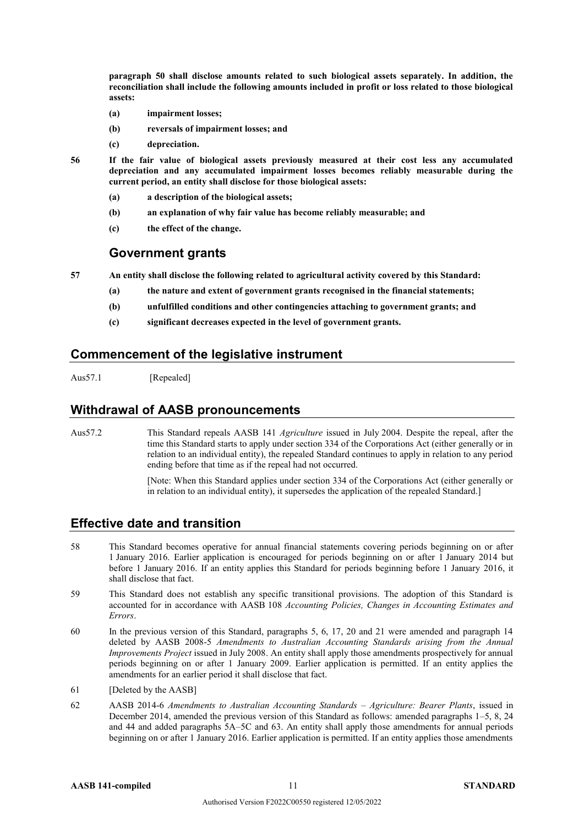**paragraph 50 shall disclose amounts related to such biological assets separately. In addition, the reconciliation shall include the following amounts included in profit or loss related to those biological assets:** 

- **(a) impairment losses;**
- **(b) reversals of impairment losses; and**
- **(c) depreciation.**

**56 If the fair value of biological assets previously measured at their cost less any accumulated depreciation and any accumulated impairment losses becomes reliably measurable during the current period, an entity shall disclose for those biological assets:** 

- **(a) a description of the biological assets;**
- **(b) an explanation of why fair value has become reliably measurable; and**
- **(c) the effect of the change.**

#### **Government grants**

**57 An entity shall disclose the following related to agricultural activity covered by this Standard:** 

- **(a) the nature and extent of government grants recognised in the financial statements;**
- **(b) unfulfilled conditions and other contingencies attaching to government grants; and**
- **(c) significant decreases expected in the level of government grants.**

#### **Commencement of the legislative instrument**

Aus57.1 [Repealed]

#### **Withdrawal of AASB pronouncements**

Aus57.2 This Standard repeals AASB 141 *Agriculture* issued in July 2004. Despite the repeal, after the time this Standard starts to apply under section 334 of the Corporations Act (either generally or in relation to an individual entity), the repealed Standard continues to apply in relation to any period ending before that time as if the repeal had not occurred.

> [Note: When this Standard applies under section 334 of the Corporations Act (either generally or in relation to an individual entity), it supersedes the application of the repealed Standard.]

#### **Effective date and transition**

- 58 This Standard becomes operative for annual financial statements covering periods beginning on or after 1 January 2016. Earlier application is encouraged for periods beginning on or after 1 January 2014 but before 1 January 2016. If an entity applies this Standard for periods beginning before 1 January 2016, it shall disclose that fact.
- 59 This Standard does not establish any specific transitional provisions. The adoption of this Standard is accounted for in accordance with AASB 108 *Accounting Policies, Changes in Accounting Estimates and Errors*.
- 60 In the previous version of this Standard, paragraphs 5, 6, 17, 20 and 21 were amended and paragraph 14 deleted by AASB 2008-5 *Amendments to Australian Accounting Standards arising from the Annual Improvements Project* issued in July 2008. An entity shall apply those amendments prospectively for annual periods beginning on or after 1 January 2009. Earlier application is permitted. If an entity applies the amendments for an earlier period it shall disclose that fact.
- 61 [Deleted by the AASB]
- 62 AASB 2014-6 *Amendments to Australian Accounting Standards – Agriculture: Bearer Plants*, issued in December 2014, amended the previous version of this Standard as follows: amended paragraphs 1–5, 8, 24 and 44 and added paragraphs 5A–5C and 63. An entity shall apply those amendments for annual periods beginning on or after 1 January 2016. Earlier application is permitted. If an entity applies those amendments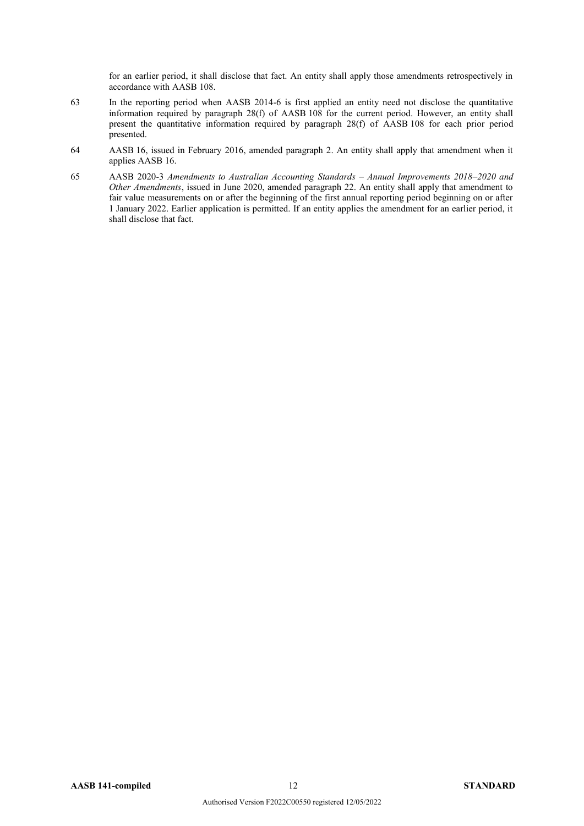for an earlier period, it shall disclose that fact. An entity shall apply those amendments retrospectively in accordance with AASB 108.

- 63 In the reporting period when AASB 2014-6 is first applied an entity need not disclose the quantitative information required by paragraph 28(f) of AASB 108 for the current period. However, an entity shall present the quantitative information required by paragraph 28(f) of AASB 108 for each prior period presented.
- 64 AASB 16, issued in February 2016, amended paragraph 2. An entity shall apply that amendment when it applies AASB 16.
- 65 AASB 2020-3 *Amendments to Australian Accounting Standards – Annual Improvements 2018–2020 and Other Amendments*, issued in June 2020, amended paragraph 22. An entity shall apply that amendment to fair value measurements on or after the beginning of the first annual reporting period beginning on or after 1 January 2022. Earlier application is permitted. If an entity applies the amendment for an earlier period, it shall disclose that fact.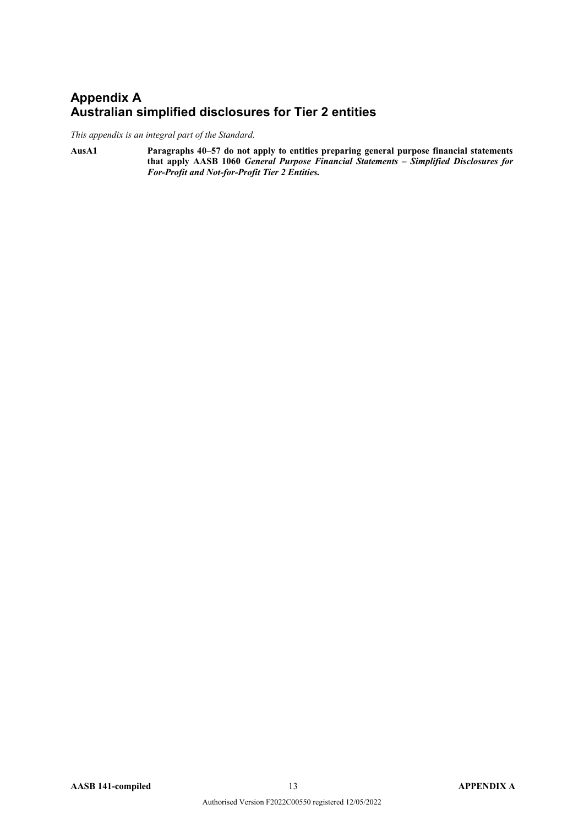## **Appendix A Australian simplified disclosures for Tier 2 entities**

*This appendix is an integral part of the Standard.*

**AusA1 Paragraphs 40–57 do not apply to entities preparing general purpose financial statements that apply AASB 1060** *General Purpose Financial Statements – Simplified Disclosures for For-Profit and Not-for-Profit Tier 2 Entities.*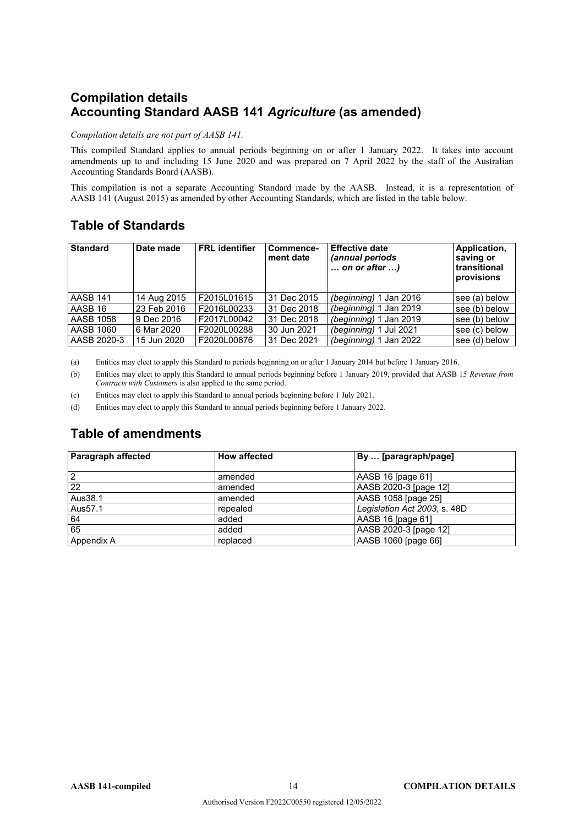# **Compilation details Accounting Standard AASB 141** *Agriculture* **(as amended)**

*Compilation details are not part of AASB 141.*

This compiled Standard applies to annual periods beginning on or after 1 January 2022. It takes into account amendments up to and including 15 June 2020 and was prepared on 7 April 2022 by the staff of the Australian Accounting Standards Board (AASB).

This compilation is not a separate Accounting Standard made by the AASB. Instead, it is a representation of AASB 141 (August 2015) as amended by other Accounting Standards, which are listed in the table below.

# **Table of Standards**

| <b>Standard</b>  | Date made   | <b>FRL</b> identifier | ∣Commence-<br>l ment date | <b>Effective date</b><br>(annual periods<br>$\ldots$ on or after $\ldots$ ) | Application,<br>saving or<br>transitional<br>provisions |
|------------------|-------------|-----------------------|---------------------------|-----------------------------------------------------------------------------|---------------------------------------------------------|
| <b>AASB 141</b>  | 14 Aug 2015 | F2015L01615           | l 31 Dec 2015             | (beginning) 1 Jan 2016                                                      | see (a) below                                           |
| AASB 16          | 23 Feb 2016 | F2016L00233           | 31 Dec 2018               | (beginning) 1 Jan 2019                                                      | see (b) below                                           |
| <b>AASB 1058</b> | 9 Dec 2016  | F2017L00042           | 31 Dec 2018               | (beginning) 1 Jan 2019                                                      | see (b) below                                           |
| AASB 1060        | 6 Mar 2020  | F2020L00288           | 30 Jun 2021               | (beginning) 1 Jul 2021                                                      | see (c) below                                           |
| AASB 2020-3      | 15 Jun 2020 | F2020L00876           | 31 Dec 2021               | Jan 2022<br>(beginning)                                                     | see (d) below                                           |

(a) Entities may elect to apply this Standard to periods beginning on or after 1 January 2014 but before 1 January 2016.

(b) Entities may elect to apply this Standard to annual periods beginning before 1 January 2019, provided that AASB 15 *Revenue from Contracts with Customers* is also applied to the same period.

(c) Entities may elect to apply this Standard to annual periods beginning before 1 July 2021.

(d) Entities may elect to apply this Standard to annual periods beginning before 1 January 2022.

## **Table of amendments**

| <b>Paragraph affected</b> | <b>How affected</b> | By  [paragraph/page]         |
|---------------------------|---------------------|------------------------------|
|                           |                     |                              |
| 2                         | amended             | AASB 16 [page 61]            |
| $\overline{22}$           | amended             | AASB 2020-3 [page 12]        |
| Aus38.1                   | amended             | AASB 1058 [page 25]          |
| Aus57.1                   | repealed            | Legislation Act 2003, s. 48D |
| 64                        | added               | AASB 16 [page 61]            |
| 65                        | added               | AASB 2020-3 [page 12]        |
| Appendix A                | replaced            | AASB 1060 [page 66]          |